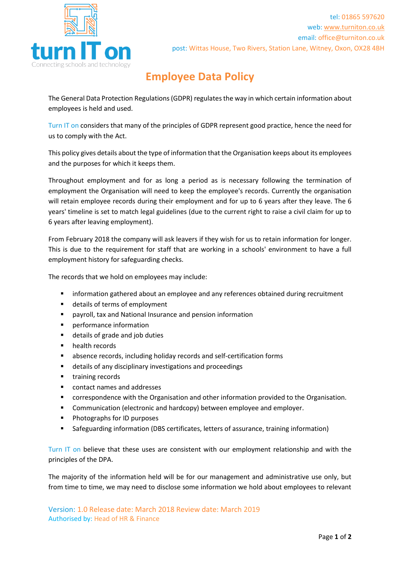

## **Employee Data Policy**

The General Data Protection Regulations (GDPR) regulates the way in which certain information about employees is held and used.

Turn IT on considers that many of the principles of GDPR represent good practice, hence the need for us to comply with the Act.

This policy gives details about the type of information that the Organisation keeps about its employees and the purposes for which it keeps them.

Throughout employment and for as long a period as is necessary following the termination of employment the Organisation will need to keep the employee's records. Currently the organisation will retain employee records during their employment and for up to 6 years after they leave. The 6 years' timeline is set to match legal guidelines (due to the current right to raise a civil claim for up to 6 years after leaving employment).

From February 2018 the company will ask leavers if they wish for us to retain information for longer. This is due to the requirement for staff that are working in a schools' environment to have a full employment history for safeguarding checks.

The records that we hold on employees may include:

- **■** information gathered about an employee and any references obtained during recruitment
- details of terms of employment
- payroll, tax and National Insurance and pension information
- performance information
- details of grade and job duties
- health records
- absence records, including holiday records and self-certification forms
- details of any disciplinary investigations and proceedings
- **■** training records
- contact names and addresses
- correspondence with the Organisation and other information provided to the Organisation.
- Communication (electronic and hardcopy) between employee and employer.
- Photographs for ID purposes
- Safeguarding information (DBS certificates, letters of assurance, training information)

Turn IT on believe that these uses are consistent with our employment relationship and with the principles of the DPA.

The majority of the information held will be for our management and administrative use only, but from time to time, we may need to disclose some information we hold about employees to relevant

Version: 1.0 Release date: March 2018 Review date: March 2019 Authorised by: Head of HR & Finance